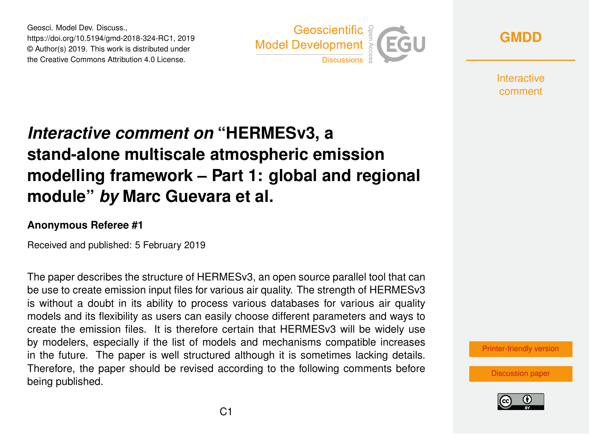Geosci. Model Dev. Discuss., https://doi.org/10.5194/gmd-2018-324-RC1, 2019 © Author(s) 2019. This work is distributed under the Creative Commons Attribution 4.0 License.



**[GMDD](https://www.geosci-model-dev-discuss.net/)**

**Interactive** comment

# *Interactive comment on* **"HERMESv3, a stand-alone multiscale atmospheric emission modelling framework – Part 1: global and regional module"** *by* **Marc Guevara et al.**

#### **Anonymous Referee #1**

Received and published: 5 February 2019

The paper describes the structure of HERMESv3, an open source parallel tool that can be use to create emission input files for various air quality. The strength of HERMESv3 is without a doubt in its ability to process various databases for various air quality models and its flexibility as users can easily choose different parameters and ways to create the emission files. It is therefore certain that HERMESv3 will be widely use by modelers, especially if the list of models and mechanisms compatible increases in the future. The paper is well structured although it is sometimes lacking details. Therefore, the paper should be revised according to the following comments before being published.

[Printer-friendly version](https://www.geosci-model-dev-discuss.net/gmd-2018-324/gmd-2018-324-RC1-print.pdf)

[Discussion paper](https://www.geosci-model-dev-discuss.net/gmd-2018-324)

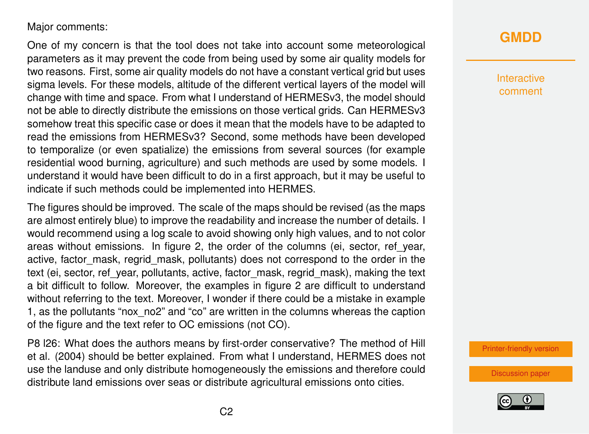#### Major comments:

One of my concern is that the tool does not take into account some meteorological parameters as it may prevent the code from being used by some air quality models for two reasons. First, some air quality models do not have a constant vertical grid but uses sigma levels. For these models, altitude of the different vertical layers of the model will change with time and space. From what I understand of HERMESv3, the model should not be able to directly distribute the emissions on those vertical grids. Can HERMESv3 somehow treat this specific case or does it mean that the models have to be adapted to read the emissions from HERMESv3? Second, some methods have been developed to temporalize (or even spatialize) the emissions from several sources (for example residential wood burning, agriculture) and such methods are used by some models. I understand it would have been difficult to do in a first approach, but it may be useful to indicate if such methods could be implemented into HERMES.

The figures should be improved. The scale of the maps should be revised (as the maps are almost entirely blue) to improve the readability and increase the number of details. I would recommend using a log scale to avoid showing only high values, and to not color areas without emissions. In figure 2, the order of the columns (ei, sector, ref\_year, active, factor mask, regrid mask, pollutants) does not correspond to the order in the text (ei, sector, ref\_year, pollutants, active, factor\_mask, regrid\_mask), making the text a bit difficult to follow. Moreover, the examples in figure 2 are difficult to understand without referring to the text. Moreover, I wonder if there could be a mistake in example 1, as the pollutants "nox\_no2" and "co" are written in the columns whereas the caption of the figure and the text refer to OC emissions (not CO).

P8 l26: What does the authors means by first-order conservative? The method of Hill et al. (2004) should be better explained. From what I understand, HERMES does not use the landuse and only distribute homogeneously the emissions and therefore could distribute land emissions over seas or distribute agricultural emissions onto cities.

### **[GMDD](https://www.geosci-model-dev-discuss.net/)**

Interactive comment

[Printer-friendly version](https://www.geosci-model-dev-discuss.net/gmd-2018-324/gmd-2018-324-RC1-print.pdf)

[Discussion paper](https://www.geosci-model-dev-discuss.net/gmd-2018-324)

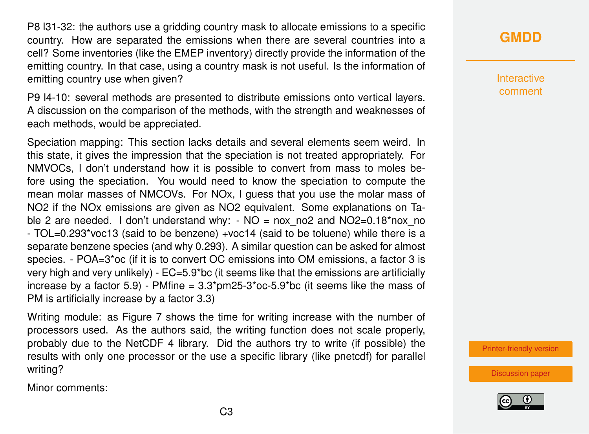P8 l31-32: the authors use a gridding country mask to allocate emissions to a specific country. How are separated the emissions when there are several countries into a cell? Some inventories (like the EMEP inventory) directly provide the information of the emitting country. In that case, using a country mask is not useful. Is the information of emitting country use when given?

P9 l4-10: several methods are presented to distribute emissions onto vertical layers. A discussion on the comparison of the methods, with the strength and weaknesses of each methods, would be appreciated.

Speciation mapping: This section lacks details and several elements seem weird. In this state, it gives the impression that the speciation is not treated appropriately. For NMVOCs, I don't understand how it is possible to convert from mass to moles before using the speciation. You would need to know the speciation to compute the mean molar masses of NMCOVs. For NOx, I guess that you use the molar mass of NO2 if the NOx emissions are given as NO2 equivalent. Some explanations on Table 2 are needed. I don't understand why:  $-NO =$  nox no2 and NO2=0.18\*nox no - TOL=0.293\*voc13 (said to be benzene) +voc14 (said to be toluene) while there is a separate benzene species (and why 0.293). A similar question can be asked for almost species. - POA=3\*oc (if it is to convert OC emissions into OM emissions, a factor 3 is very high and very unlikely) - EC=5.9\*bc (it seems like that the emissions are artificially increase by a factor 5.9) - PMfine =  $3.3<sup>*</sup>$ pm25-3 $<sup>*</sup>$ oc-5.9 $<sup>*</sup>$ bc (it seems like the mass of</sup></sup> PM is artificially increase by a factor 3.3)

Writing module: as Figure 7 shows the time for writing increase with the number of processors used. As the authors said, the writing function does not scale properly, probably due to the NetCDF 4 library. Did the authors try to write (if possible) the results with only one processor or the use a specific library (like pnetcdf) for parallel writing?

Minor comments:

## **[GMDD](https://www.geosci-model-dev-discuss.net/)**

Interactive comment

[Printer-friendly version](https://www.geosci-model-dev-discuss.net/gmd-2018-324/gmd-2018-324-RC1-print.pdf)